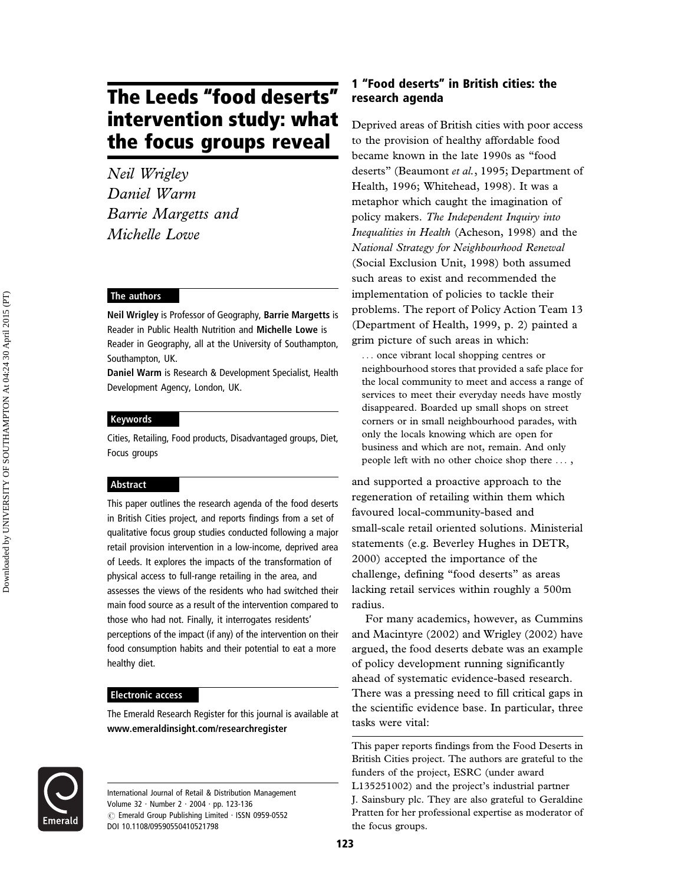# The Leeds "food deserts" intervention study: what the focus groups reveal

Neil Wrigley Daniel Warm Barrie Margetts and Michelle Lowe

#### The authors

Neil Wrigley is Professor of Geography, Barrie Margetts is Reader in Public Health Nutrition and Michelle Lowe is Reader in Geography, all at the University of Southampton, Southampton, UK.

Daniel Warm is Research & Development Specialist, Health Development Agency, London, UK.

## Keywords

Cities, Retailing, Food products, Disadvantaged groups, Diet, Focus groups

#### Abstract

This paper outlines the research agenda of the food deserts in British Cities project, and reports findings from a set of qualitative focus group studies conducted following a major retail provision intervention in a low-income, deprived area of Leeds. It explores the impacts of the transformation of physical access to full-range retailing in the area, and assesses the views of the residents who had switched their main food source as a result of the intervention compared to those who had not. Finally, it interrogates residents' perceptions of the impact (if any) of the intervention on their food consumption habits and their potential to eat a more healthy diet.

#### **Electronic access**

The Emerald Research Register for this journal is available at www.emeraldinsight.com/researchregister



International Journal of Retail & Distribution Management Volume 32 · Number 2 · 2004 · pp. 123-136 C Emerald Group Publishing Limited · ISSN 0959-0552 DOI 10.1108/09590550410521798

# 1 "Food deserts" in British cities: the research agenda

Deprived areas of British cities with poor access to the provision of healthy affordable food became known in the late 1990s as "food deserts" (Beaumont et al., 1995; Department of Health, 1996; Whitehead, 1998). It was a metaphor which caught the imagination of policy makers. The Independent Inquiry into Inequalities in Health (Acheson, 1998) and the National Strategy for Neighbourhood Renewal (Social Exclusion Unit, 1998) both assumed such areas to exist and recommended the implementation of policies to tackle their problems. The report of Policy Action Team 13 (Department of Health, 1999, p. 2) painted a grim picture of such areas in which:

... once vibrant local shopping centres or neighbourhood stores that provided a safe place for the local community to meet and access a range of services to meet their everyday needs have mostly disappeared. Boarded up small shops on street corners or in small neighbourhood parades, with only the locals knowing which are open for business and which are not, remain. And only people left with no other choice shop there ...,

and supported a proactive approach to the regeneration of retailing within them which favoured local-community-based and small-scale retail oriented solutions. Ministerial statements (e.g. Beverley Hughes in DETR, 2000) accepted the importance of the challenge, defining "food deserts" as areas lacking retail services within roughly a 500m radius.

For many academics, however, as Cummins and Macintyre (2002) and Wrigley (2002) have argued, the food deserts debate was an example of policy development running significantly ahead of systematic evidence-based research. There was a pressing need to fill critical gaps in the scientific evidence base. In particular, three tasks were vital:

This paper reports findings from the Food Deserts in British Cities project. The authors are grateful to the funders of the project, ESRC (under award L135251002) and the project's industrial partner J. Sainsbury plc. They are also grateful to Geraldine Pratten for her professional expertise as moderator of the focus groups.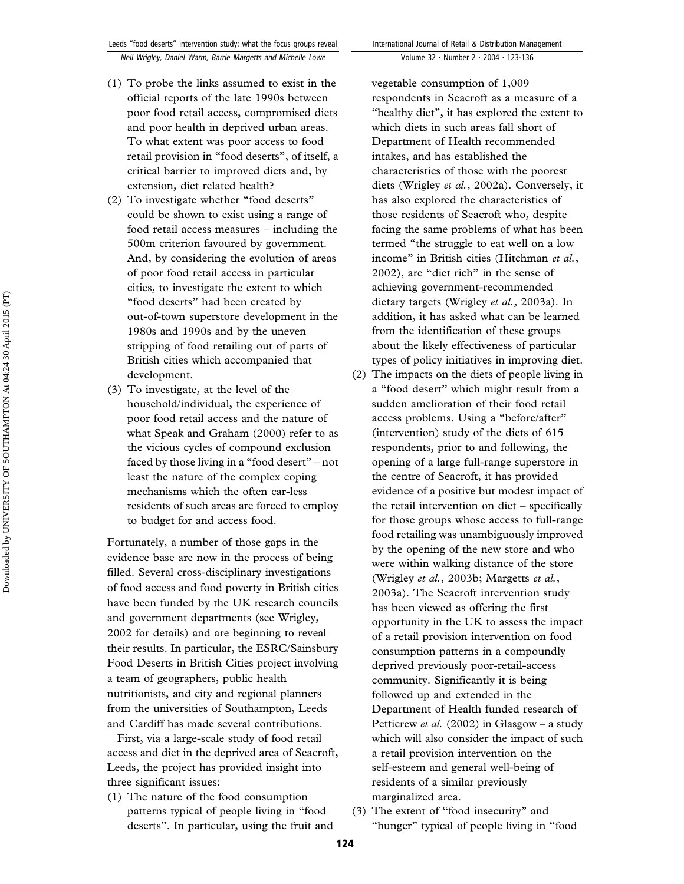- (1) To probe the links assumed to exist in the official reports of the late 1990s between poor food retail access, compromised diets and poor health in deprived urban areas. To what extent was poor access to food retail provision in "food deserts", of itself, a critical barrier to improved diets and, by extension, diet related health?
- (2) To investigate whether "food deserts" could be shown to exist using a range of food retail access measures  $-$  including the 500m criterion favoured by government. And, by considering the evolution of areas of poor food retail access in particular cities, to investigate the extent to which "food deserts" had been created by out-of-town superstore development in the 1980s and 1990s and by the uneven stripping of food retailing out of parts of British cities which accompanied that development.
- (3) To investigate, at the level of the household/individual, the experience of poor food retail access and the nature of what Speak and Graham (2000) refer to as the vicious cycles of compound exclusion faced by those living in a "food desert" – not least the nature of the complex coping mechanisms which the often car-less residents of such areas are forced to employ to budget for and access food.

Fortunately, a number of those gaps in the evidence base are now in the process of being filled. Several cross-disciplinary investigations of food access and food poverty in British cities have been funded by the UK research councils and government departments (see Wrigley, 2002 for details) and are beginning to reveal their results. In particular, the ESRC/Sainsbury Food Deserts in British Cities project involving a team of geographers, public health nutritionists, and city and regional planners from the universities of Southampton, Leeds and Cardiff has made several contributions.

First, via a large-scale study of food retail access and diet in the deprived area of Seacroft, Leeds, the project has provided insight into three significant issues:

(1) The nature of the food consumption patterns typical of people living in "food deserts". In particular, using the fruit and International Journal of Retail & Distribution Management Volume 32 · Number 2 · 2004 · 123-136

vegetable consumption of 1,009 respondents in Seacroft as a measure of a "healthy diet", it has explored the extent to which diets in such areas fall short of Department of Health recommended intakes, and has established the characteristics of those with the poorest diets (Wrigley et al., 2002a). Conversely, it has also explored the characteristics of those residents of Seacroft who, despite facing the same problems of what has been termed "the struggle to eat well on a low income" in British cities (Hitchman et al., 2002), are "diet rich" in the sense of achieving government-recommended dietary targets (Wrigley et al., 2003a). In addition, it has asked what can be learned from the identification of these groups about the likely effectiveness of particular types of policy initiatives in improving diet.

- (2) The impacts on the diets of people living in a "food desert" which might result from a sudden amelioration of their food retail access problems. Using a "before/after" (intervention) study of the diets of 615 respondents, prior to and following, the opening of a large full-range superstore in the centre of Seacroft, it has provided evidence of a positive but modest impact of the retail intervention on diet  $-$  specifically for those groups whose access to full-range food retailing was unambiguously improved by the opening of the new store and who were within walking distance of the store (Wrigley et al., 2003b; Margetts et al., 2003a). The Seacroft intervention study has been viewed as offering the first opportunity in the UK to assess the impact of a retail provision intervention on food consumption patterns in a compoundly deprived previously poor-retail-access community. Significantly it is being followed up and extended in the Department of Health funded research of Petticrew *et al.* (2002) in Glasgow – a study which will also consider the impact of such a retail provision intervention on the self-esteem and general well-being of residents of a similar previously marginalized area.
- (3) The extent of "food insecurity" and "hunger" typical of people living in "food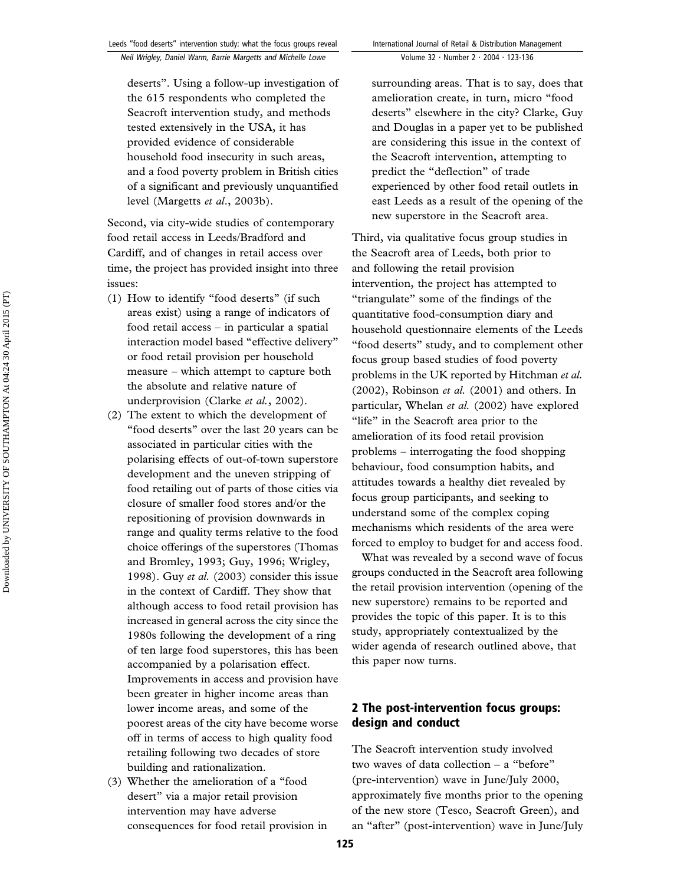Leeds "food deserts" intervention study: what the focus groups reveal

Neil Wrigley, Daniel Warm, Barrie Margetts and Michelle Lowe

deserts". Using a follow-up investigation of the 615 respondents who completed the Seacroft intervention study, and methods tested extensively in the USA, it has provided evidence of considerable household food insecurity in such areas, and a food poverty problem in British cities of a significant and previously unquantified level (Margetts et al., 2003b).

Second, via city-wide studies of contemporary food retail access in Leeds/Bradford and Cardiff, and of changes in retail access over time, the project has provided insight into three issues:

- (1) How to identify "food deserts" (if such areas exist) using a range of indicators of food retail access - in particular a spatial interaction model based "effective delivery" or food retail provision per household measure – which attempt to capture both the absolute and relative nature of underprovision (Clarke et al., 2002).
- (2) The extent to which the development of "food deserts" over the last 20 years can be associated in particular cities with the polarising effects of out-of-town superstore development and the uneven stripping of food retailing out of parts of those cities via closure of smaller food stores and/or the repositioning of provision downwards in range and quality terms relative to the food choice offerings of the superstores (Thomas and Bromley, 1993; Guy, 1996; Wrigley, 1998). Guy et al. (2003) consider this issue in the context of Cardiff. They show that although access to food retail provision has increased in general across the city since the 1980s following the development of a ring of ten large food superstores, this has been accompanied by a polarisation effect. Improvements in access and provision have been greater in higher income areas than lower income areas, and some of the poorest areas of the city have become worse off in terms of access to high quality food retailing following two decades of store building and rationalization.
- (3) Whether the amelioration of a "food desert" via a major retail provision intervention may have adverse consequences for food retail provision in

surrounding areas. That is to say, does that amelioration create, in turn, micro "food deserts" elsewhere in the city? Clarke, Guy and Douglas in a paper yet to be published are considering this issue in the context of the Seacroft intervention, attempting to predict the "deflection" of trade experienced by other food retail outlets in east Leeds as a result of the opening of the new superstore in the Seacroft area.

Third, via qualitative focus group studies in the Seacroft area of Leeds, both prior to and following the retail provision intervention, the project has attempted to "triangulate" some of the findings of the quantitative food-consumption diary and household questionnaire elements of the Leeds "food deserts" study, and to complement other focus group based studies of food poverty problems in the UK reported by Hitchman et al.  $(2002)$ , Robinson et al.  $(2001)$  and others. In particular, Whelan et al. (2002) have explored "life" in the Seacroft area prior to the amelioration of its food retail provision problems – interrogating the food shopping behaviour, food consumption habits, and attitudes towards a healthy diet revealed by focus group participants, and seeking to understand some of the complex coping mechanisms which residents of the area were forced to employ to budget for and access food.

What was revealed by a second wave of focus groups conducted in the Seacroft area following the retail provision intervention (opening of the new superstore) remains to be reported and provides the topic of this paper. It is to this study, appropriately contextualized by the wider agenda of research outlined above, that this paper now turns.

# 2 The post-intervention focus groups: design and conduct

The Seacroft intervention study involved two waves of data collection  $-$  a "before" (pre-intervention) wave in June/July 2000, approximately five months prior to the opening of the new store (Tesco, Seacroft Green), and an "after" (post-intervention) wave in June/July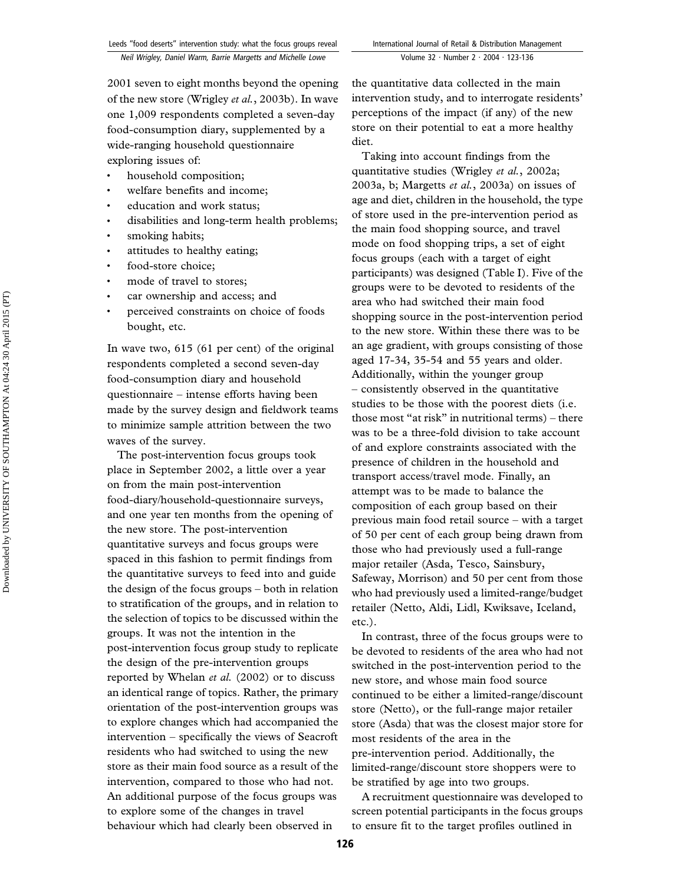2001 seven to eight months beyond the opening of the new store (Wrigley et al., 2003b). In wave one 1,009 respondents completed a seven-day food-consumption diary, supplemented by a wide-ranging household questionnaire exploring issues of:

- household composition;
- welfare benefits and income;
- education and work status;
- disabilities and long-term health problems;
- smoking habits;
- attitudes to healthy eating;
- food-store choice;
- mode of travel to stores;
- car ownership and access; and
- perceived constraints on choice of foods  $\bullet$ bought, etc.

In wave two, 615 (61 per cent) of the original respondents completed a second seven-day food-consumption diary and household questionnaire – intense efforts having been made by the survey design and fieldwork teams to minimize sample attrition between the two waves of the survey.

The post-intervention focus groups took place in September 2002, a little over a year on from the main post-intervention food-diary/household-questionnaire surveys, and one year ten months from the opening of the new store. The post-intervention quantitative surveys and focus groups were spaced in this fashion to permit findings from the quantitative surveys to feed into and guide the design of the focus groups – both in relation to stratification of the groups, and in relation to the selection of topics to be discussed within the groups. It was not the intention in the post-intervention focus group study to replicate the design of the pre-intervention groups reported by Whelan et al. (2002) or to discuss an identical range of topics. Rather, the primary orientation of the post-intervention groups was to explore changes which had accompanied the intervention – specifically the views of Seacroft residents who had switched to using the new store as their main food source as a result of the intervention, compared to those who had not. An additional purpose of the focus groups was to explore some of the changes in travel behaviour which had clearly been observed in

the quantitative data collected in the main intervention study, and to interrogate residents' perceptions of the impact (if any) of the new store on their potential to eat a more healthy diet.

Taking into account findings from the quantitative studies (Wrigley et al., 2002a; 2003a, b; Margetts et al., 2003a) on issues of age and diet, children in the household, the type of store used in the pre-intervention period as the main food shopping source, and travel mode on food shopping trips, a set of eight focus groups (each with a target of eight participants) was designed (Table I). Five of the groups were to be devoted to residents of the area who had switched their main food shopping source in the post-intervention period to the new store. Within these there was to be an age gradient, with groups consisting of those aged 17-34, 35-54 and 55 years and older. Additionally, within the younger group - consistently observed in the quantitative studies to be those with the poorest diets (i.e. those most "at risk" in nutritional terms) – there was to be a three-fold division to take account of and explore constraints associated with the presence of children in the household and transport access/travel mode. Finally, an attempt was to be made to balance the composition of each group based on their previous main food retail source - with a target of 50 per cent of each group being drawn from those who had previously used a full-range major retailer (Asda, Tesco, Sainsbury, Safeway, Morrison) and 50 per cent from those who had previously used a limited-range/budget retailer (Netto, Aldi, Lidl, Kwiksave, Iceland, etc.).

In contrast, three of the focus groups were to be devoted to residents of the area who had not switched in the post-intervention period to the new store, and whose main food source continued to be either a limited-range/discount store (Netto), or the full-range major retailer store (Asda) that was the closest major store for most residents of the area in the pre-intervention period. Additionally, the limited-range/discount store shoppers were to be stratified by age into two groups.

A recruitment questionnaire was developed to screen potential participants in the focus groups to ensure fit to the target profiles outlined in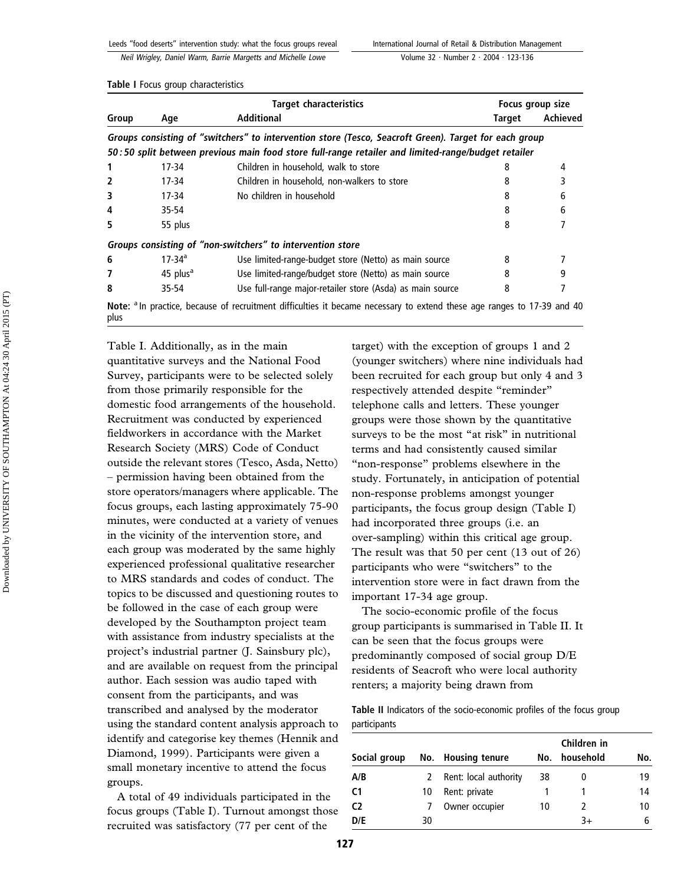Neil Wrigley, Daniel Warm, Barrie Margetts and Michelle Lowe

Table I Focus group characteristics

Volume 32 · Number 2 · 2004 · 123-136

|                          |                      | <b>Target characteristics</b>                                                                                          | Focus group size |          |
|--------------------------|----------------------|------------------------------------------------------------------------------------------------------------------------|------------------|----------|
| Group                    | Age                  | Additional                                                                                                             | Target           | Achieved |
|                          |                      | Groups consisting of "switchers" to intervention store (Tesco, Seacroft Green). Target for each group                  |                  |          |
|                          |                      | 50:50 split between previous main food store full-range retailer and limited-range/budget retailer                     |                  |          |
|                          | 17-34                | Children in household, walk to store                                                                                   | 8                | 4        |
| $\overline{2}$           | 17-34                | Children in household, non-walkers to store                                                                            | 8                | 3        |
| 3                        | 17-34                | No children in household                                                                                               | 8                | 6        |
| 4                        | 35-54                |                                                                                                                        | 8                | 6        |
| 5                        | 55 plus              |                                                                                                                        | 8                |          |
|                          |                      | Groups consisting of "non-switchers" to intervention store                                                             |                  |          |
| 6                        | $17 - 34^a$          | Use limited-range-budget store (Netto) as main source                                                                  | 8                |          |
| $\overline{\phantom{a}}$ | 45 plus <sup>a</sup> | Use limited-range/budget store (Netto) as main source                                                                  | 8                | 9        |
| 8                        | 35-54                | Use full-range major-retailer store (Asda) as main source                                                              | 8                |          |
| plus                     |                      | Note: aln practice, because of recruitment difficulties it became necessary to extend these age ranges to 17-39 and 40 |                  |          |

Table I. Additionally, as in the main quantitative surveys and the National Food Survey, participants were to be selected solely from those primarily responsible for the domestic food arrangements of the household. Recruitment was conducted by experienced fieldworkers in accordance with the Market Research Society (MRS) Code of Conduct outside the relevant stores (Tesco, Asda, Netto) - permission having been obtained from the store operators/managers where applicable. The focus groups, each lasting approximately 75-90 minutes, were conducted at a variety of venues in the vicinity of the intervention store, and each group was moderated by the same highly experienced professional qualitative researcher to MRS standards and codes of conduct. The topics to be discussed and questioning routes to be followed in the case of each group were developed by the Southampton project team with assistance from industry specialists at the project's industrial partner (J. Sainsbury plc), and are available on request from the principal author. Each session was audio taped with consent from the participants, and was transcribed and analysed by the moderator using the standard content analysis approach to identify and categorise key themes (Hennik and Diamond, 1999). Participants were given a small monetary incentive to attend the focus groups.

A total of 49 individuals participated in the focus groups (Table I). Turnout amongst those recruited was satisfactory (77 per cent of the

target) with the exception of groups 1 and 2 (younger switchers) where nine individuals had been recruited for each group but only 4 and 3 respectively attended despite "reminder" telephone calls and letters. These younger groups were those shown by the quantitative surveys to be the most "at risk" in nutritional terms and had consistently caused similar "non-response" problems elsewhere in the study. Fortunately, in anticipation of potential non-response problems amongst younger participants, the focus group design (Table I) had incorporated three groups (*i.e.* an over-sampling) within this critical age group. The result was that 50 per cent  $(13 \text{ out of } 26)$ participants who were "switchers" to the intervention store were in fact drawn from the important 17-34 age group.

The socio-economic profile of the focus group participants is summarised in Table II. It can be seen that the focus groups were predominantly composed of social group D/E residents of Seacroft who were local authority renters; a majority being drawn from

Table II Indicators of the socio-economic profiles of the focus group participants

|                |    |                         | Children in |           |     |
|----------------|----|-------------------------|-------------|-----------|-----|
| Social group   |    | No. Housing tenure      | No.         | household | No. |
| A/B            |    | 2 Rent: local authority | 38          | U         | 19  |
| C <sub>1</sub> | 10 | Rent: private           |             |           | 14  |
| C <sub>2</sub> |    | Owner occupier          | 10          | 2         | 10  |
| D/E            | 30 |                         |             | 3+        | 6   |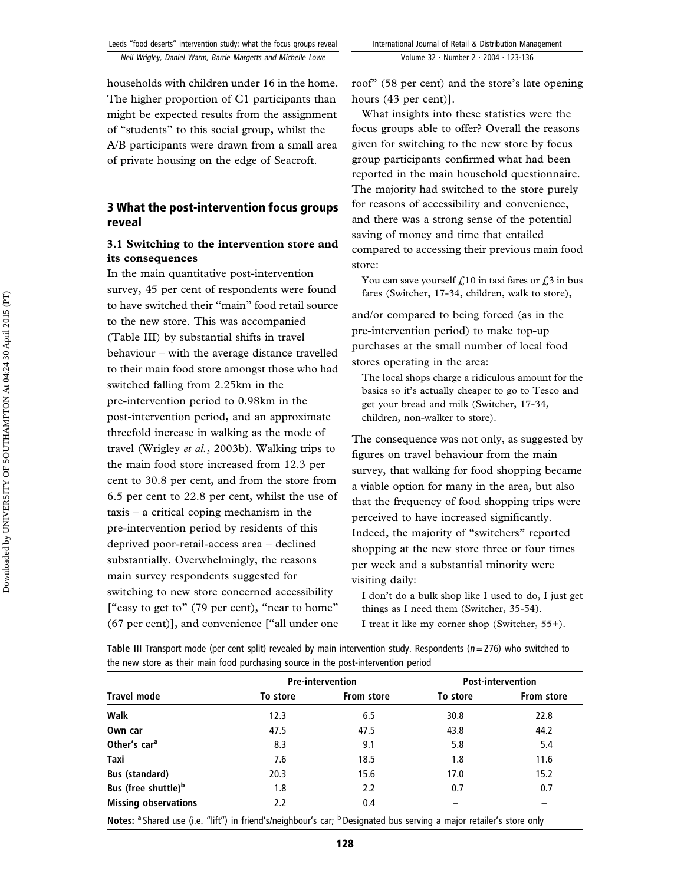households with children under 16 in the home. The higher proportion of C1 participants than might be expected results from the assignment of "students" to this social group, whilst the A/B participants were drawn from a small area of private housing on the edge of Seacroft.

# 3 What the post-intervention focus groups reveal

## 3.1 Switching to the intervention store and its consequences

In the main quantitative post-intervention survey, 45 per cent of respondents were found to have switched their "main" food retail source to the new store. This was accompanied (Table III) by substantial shifts in travel behaviour – with the average distance travelled to their main food store amongst those who had switched falling from 2.25km in the pre-intervention period to 0.98km in the post-intervention period, and an approximate threefold increase in walking as the mode of travel (Wrigley et al., 2003b). Walking trips to the main food store increased from 12.3 per cent to 30.8 per cent, and from the store from 6.5 per cent to 22.8 per cent, whilst the use of  $taxis - a critical coping mechanism in the$ pre-intervention period by residents of this deprived poor-retail-access area - declined substantially. Overwhelmingly, the reasons main survey respondents suggested for switching to new store concerned accessibility ["easy to get to" (79 per cent), "near to home" (67 per cent)], and convenience ["all under one roof" (58 per cent) and the store's late opening hours (43 per cent)].

What insights into these statistics were the focus groups able to offer? Overall the reasons given for switching to the new store by focus group participants confirmed what had been reported in the main household questionnaire. The majority had switched to the store purely for reasons of accessibility and convenience, and there was a strong sense of the potential saving of money and time that entailed compared to accessing their previous main food store:

You can save yourself  $f(10)$  in taxi fares or  $f(3)$  in bus fares (Switcher, 17-34, children, walk to store),

and/or compared to being forced (as in the pre-intervention period) to make top-up purchases at the small number of local food stores operating in the area:

The local shops charge a ridiculous amount for the basics so it's actually cheaper to go to Tesco and get your bread and milk (Switcher, 17-34, children, non-walker to store).

The consequence was not only, as suggested by figures on travel behaviour from the main survey, that walking for food shopping became a viable option for many in the area, but also that the frequency of food shopping trips were perceived to have increased significantly. Indeed, the majority of "switchers" reported shopping at the new store three or four times per week and a substantial minority were visiting daily:

I don't do a bulk shop like I used to do, I just get things as I need them (Switcher, 35-54). I treat it like my corner shop (Switcher, 55+).

Table III Transport mode (per cent split) revealed by main intervention study. Respondents ( $n = 276$ ) who switched to the new store as their main food purchasing source in the post-intervention period

|                                                                                                                                             |          | <b>Pre-intervention</b> | <b>Post-intervention</b> |            |  |
|---------------------------------------------------------------------------------------------------------------------------------------------|----------|-------------------------|--------------------------|------------|--|
| Travel mode                                                                                                                                 | To store | From store              | To store                 | From store |  |
| Walk                                                                                                                                        | 12.3     | 6.5                     | 30.8                     | 22.8       |  |
| Own car                                                                                                                                     | 47.5     | 47.5                    | 43.8                     | 44.2       |  |
| Other's car <sup>a</sup>                                                                                                                    | 8.3      | 9.1                     | 5.8                      | 5.4        |  |
| Taxi                                                                                                                                        | 7.6      | 18.5                    | 1.8                      | 11.6       |  |
| <b>Bus (standard)</b>                                                                                                                       | 20.3     | 15.6                    | 17.0                     | 15.2       |  |
| Bus (free shuttle) <sup>b</sup>                                                                                                             | 1.8      | 2.2                     | 0.7                      | 0.7        |  |
| <b>Missing observations</b>                                                                                                                 | 2.2      | 0.4                     |                          |            |  |
| Notes: <sup>a</sup> Shared use (i.e. "lift") in friend's/neighbour's car; <sup>b</sup> Designated bus serving a major retailer's store only |          |                         |                          |            |  |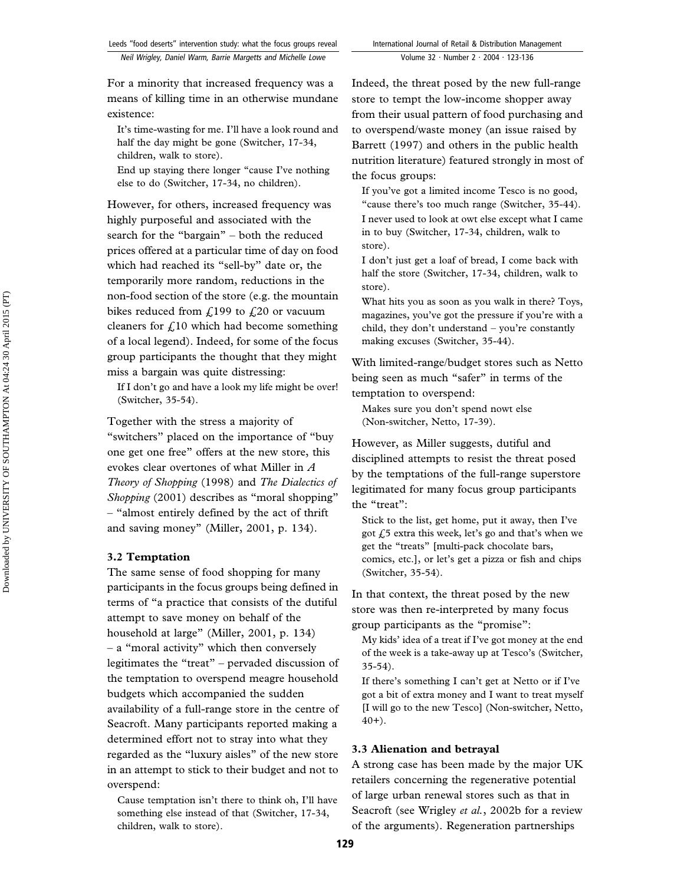For a minority that increased frequency was a means of killing time in an otherwise mundane existence:

It's time-wasting for me. I'll have a look round and half the day might be gone (Switcher, 17-34, children, walk to store).

End up staying there longer "cause I've nothing else to do (Switcher, 17-34, no children).

However, for others, increased frequency was highly purposeful and associated with the search for the "bargain" – both the reduced prices offered at a particular time of day on food which had reached its "sell-by" date or, the temporarily more random, reductions in the non-food section of the store (e.g. the mountain bikes reduced from  $f<sub>1</sub>199$  to  $f<sub>2</sub>20$  or vacuum cleaners for  $f<sub>10</sub>$  which had become something of a local legend). Indeed, for some of the focus group participants the thought that they might miss a bargain was quite distressing:

If I don't go and have a look my life might be over! (Switcher, 35-54).

Together with the stress a majority of "switchers" placed on the importance of "buy one get one free" offers at the new store, this evokes clear overtones of what Miller in A Theory of Shopping (1998) and The Dialectics of *Shopping* (2001) describes as "moral shopping" - "almost entirely defined by the act of thrift and saving money" (Miller, 2001, p. 134).

### 3.2 Temptation

The same sense of food shopping for many participants in the focus groups being defined in terms of "a practice that consists of the dutiful attempt to save money on behalf of the household at large" (Miller, 2001, p. 134) - a "moral activity" which then conversely legitimates the "treat" - pervaded discussion of the temptation to overspend meagre household budgets which accompanied the sudden availability of a full-range store in the centre of Seacroft. Many participants reported making a determined effort not to stray into what they regarded as the "luxury aisles" of the new store in an attempt to stick to their budget and not to overspend:

Cause temptation isn't there to think oh, I'll have something else instead of that (Switcher, 17-34, children, walk to store).

Indeed, the threat posed by the new full-range store to tempt the low-income shopper away from their usual pattern of food purchasing and to overspend/waste money (an issue raised by Barrett (1997) and others in the public health nutrition literature) featured strongly in most of the focus groups:

If you've got a limited income Tesco is no good, "cause there's too much range (Switcher, 35-44). I never used to look at owt else except what I came in to buy (Switcher, 17-34, children, walk to store).

I don't just get a loaf of bread, I come back with half the store (Switcher, 17-34, children, walk to store).

What hits you as soon as you walk in there? Toys, magazines, you've got the pressure if you're with a child, they don't understand  $-$  you're constantly making excuses (Switcher, 35-44).

With limited-range/budget stores such as Netto being seen as much "safer" in terms of the temptation to overspend:

Makes sure you don't spend nowt else (Non-switcher, Netto, 17-39).

However, as Miller suggests, dutiful and disciplined attempts to resist the threat posed by the temptations of the full-range superstore legitimated for many focus group participants the "treat":

Stick to the list, get home, put it away, then I've got  $f$ , 5 extra this week, let's go and that's when we get the "treats" [multi-pack chocolate bars, comics, etc.], or let's get a pizza or fish and chips (Switcher, 35-54).

In that context, the threat posed by the new store was then re-interpreted by many focus group participants as the "promise":

My kids' idea of a treat if I've got money at the end of the week is a take-away up at Tesco's (Switcher,  $35 - 54$ ).

If there's something I can't get at Netto or if I've got a bit of extra money and I want to treat myself [I will go to the new Tesco] (Non-switcher, Netto,  $40+$ ).

### 3.3 Alienation and betrayal

A strong case has been made by the major UK retailers concerning the regenerative potential of large urban renewal stores such as that in Seacroft (see Wrigley et al., 2002b for a review of the arguments). Regeneration partnerships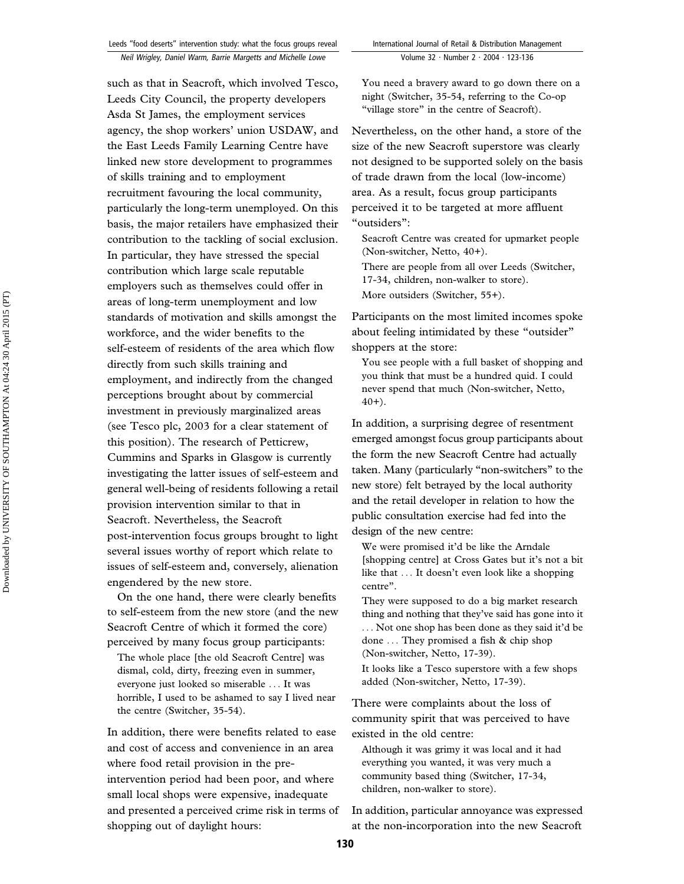#### Leeds "food deserts" intervention study: what the focus groups reveal Neil Wrigley, Daniel Warm, Barrie Margetts and Michelle Lowe

such as that in Seacroft, which involved Tesco, Leeds City Council, the property developers Asda St James, the employment services agency, the shop workers' union USDAW, and the East Leeds Family Learning Centre have linked new store development to programmes of skills training and to employment recruitment favouring the local community, particularly the long-term unemployed. On this basis, the major retailers have emphasized their contribution to the tackling of social exclusion. In particular, they have stressed the special contribution which large scale reputable employers such as themselves could offer in areas of long-term unemployment and low standards of motivation and skills amongst the workforce, and the wider benefits to the self-esteem of residents of the area which flow directly from such skills training and employment, and indirectly from the changed perceptions brought about by commercial investment in previously marginalized areas (see Tesco plc, 2003 for a clear statement of this position). The research of Petticrew, Cummins and Sparks in Glasgow is currently investigating the latter issues of self-esteem and general well-being of residents following a retail provision intervention similar to that in Seacroft. Nevertheless, the Seacroft post-intervention focus groups brought to light several issues worthy of report which relate to issues of self-esteem and, conversely, alienation engendered by the new store.

On the one hand, there were clearly benefits to self-esteem from the new store (and the new Seacroft Centre of which it formed the core) perceived by many focus group participants:

The whole place [the old Seacroft Centre] was dismal, cold, dirty, freezing even in summer, everyone just looked so miserable ... It was horrible, I used to be ashamed to say I lived near the centre (Switcher, 35-54).

In addition, there were benefits related to ease and cost of access and convenience in an area where food retail provision in the preintervention period had been poor, and where small local shops were expensive, inadequate and presented a perceived crime risk in terms of shopping out of daylight hours:

You need a bravery award to go down there on a night (Switcher, 35-54, referring to the Co-op "village store" in the centre of Seacroft).

Nevertheless, on the other hand, a store of the size of the new Seacroft superstore was clearly not designed to be supported solely on the basis of trade drawn from the local (low-income) area. As a result, focus group participants perceived it to be targeted at more affluent "outsiders":

Seacroft Centre was created for upmarket people (Non-switcher, Netto, 40+).

There are people from all over Leeds (Switcher, 17-34, children, non-walker to store). More outsiders (Switcher, 55+).

Participants on the most limited incomes spoke about feeling intimidated by these "outsider" shoppers at the store:

You see people with a full basket of shopping and you think that must be a hundred quid. I could never spend that much (Non-switcher, Netto,  $40+$ ).

In addition, a surprising degree of resentment emerged amongst focus group participants about the form the new Seacroft Centre had actually taken. Many (particularly "non-switchers" to the new store) felt betrayed by the local authority and the retail developer in relation to how the public consultation exercise had fed into the design of the new centre:

We were promised it'd be like the Arndale [shopping centre] at Cross Gates but it's not a bit like that ... It doesn't even look like a shopping centre".

They were supposed to do a big market research thing and nothing that they've said has gone into it ... Not one shop has been done as they said it'd be done ... They promised a fish & chip shop (Non-switcher, Netto, 17-39).

It looks like a Tesco superstore with a few shops added (Non-switcher, Netto, 17-39).

There were complaints about the loss of community spirit that was perceived to have existed in the old centre:

Although it was grimy it was local and it had everything you wanted, it was very much a community based thing (Switcher, 17-34, children, non-walker to store).

In addition, particular annoyance was expressed at the non-incorporation into the new Seacroft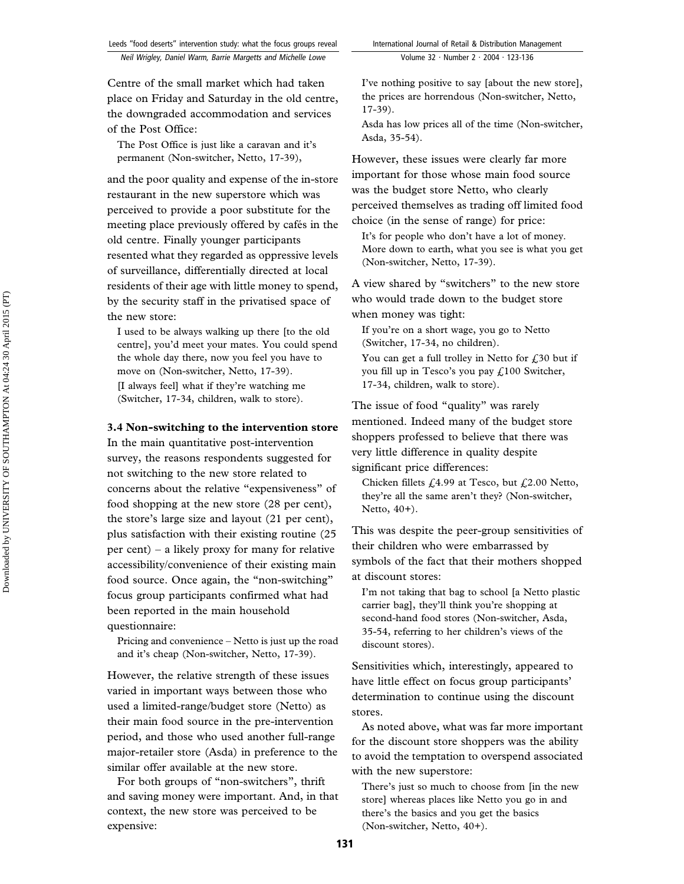Centre of the small market which had taken place on Friday and Saturday in the old centre, the downgraded accommodation and services of the Post Office:

The Post Office is just like a caravan and it's permanent (Non-switcher, Netto, 17-39),

and the poor quality and expense of the in-store restaurant in the new superstore which was perceived to provide a poor substitute for the meeting place previously offered by cafés in the old centre. Finally younger participants resented what they regarded as oppressive levels of surveillance, differentially directed at local residents of their age with little money to spend, by the security staff in the privatised space of the new store:

I used to be always walking up there [to the old centre], you'd meet your mates. You could spend the whole day there, now you feel you have to move on (Non-switcher, Netto, 17-39). [I always feel] what if they're watching me (Switcher, 17-34, children, walk to store).

#### 3.4 Non-switching to the intervention store

In the main quantitative post-intervention survey, the reasons respondents suggested for not switching to the new store related to concerns about the relative "expensiveness" of food shopping at the new store (28 per cent), the store's large size and layout (21 per cent), plus satisfaction with their existing routine (25)  $per cent$ ) – a likely proxy for many for relative accessibility/convenience of their existing main food source. Once again, the "non-switching" focus group participants confirmed what had been reported in the main household questionnaire:

Pricing and convenience  $-$  Netto is just up the road and it's cheap (Non-switcher, Netto, 17-39).

However, the relative strength of these issues varied in important ways between those who used a limited-range/budget store (Netto) as their main food source in the pre-intervention period, and those who used another full-range major-retailer store (Asda) in preference to the similar offer available at the new store.

For both groups of "non-switchers", thrift and saving money were important. And, in that context, the new store was perceived to be expensive:

I've nothing positive to say [about the new store], the prices are horrendous (Non-switcher, Netto,  $17-39$ ).

Asda has low prices all of the time (Non-switcher, Asda, 35-54).

However, these issues were clearly far more important for those whose main food source was the budget store Netto, who clearly perceived themselves as trading off limited food choice (in the sense of range) for price:

It's for people who don't have a lot of money. More down to earth, what you see is what you get (Non-switcher, Netto, 17-39).

A view shared by "switchers" to the new store who would trade down to the budget store when money was tight:

If you're on a short wage, you go to Netto (Switcher, 17-34, no children).

You can get a full trolley in Netto for  $\text{\textsterling}30$  but if you fill up in Tesco's you pay £100 Switcher, 17-34, children, walk to store).

The issue of food "quality" was rarely mentioned. Indeed many of the budget store shoppers professed to believe that there was very little difference in quality despite significant price differences:

Chicken fillets  $f<sub>1</sub>4.99$  at Tesco, but  $f<sub>1</sub>2.00$  Netto, they're all the same aren't they? (Non-switcher, Netto,  $40+$ ).

This was despite the peer-group sensitivities of their children who were embarrassed by symbols of the fact that their mothers shopped at discount stores:

I'm not taking that bag to school [a Netto plastic carrier bag], they'll think you're shopping at second-hand food stores (Non-switcher, Asda, 35-54, referring to her children's views of the discount stores).

Sensitivities which, interestingly, appeared to have little effect on focus group participants' determination to continue using the discount stores.

As noted above, what was far more important for the discount store shoppers was the ability to avoid the temptation to overspend associated with the new superstore:

There's just so much to choose from [in the new store] whereas places like Netto you go in and there's the basics and you get the basics (Non-switcher, Netto, 40+).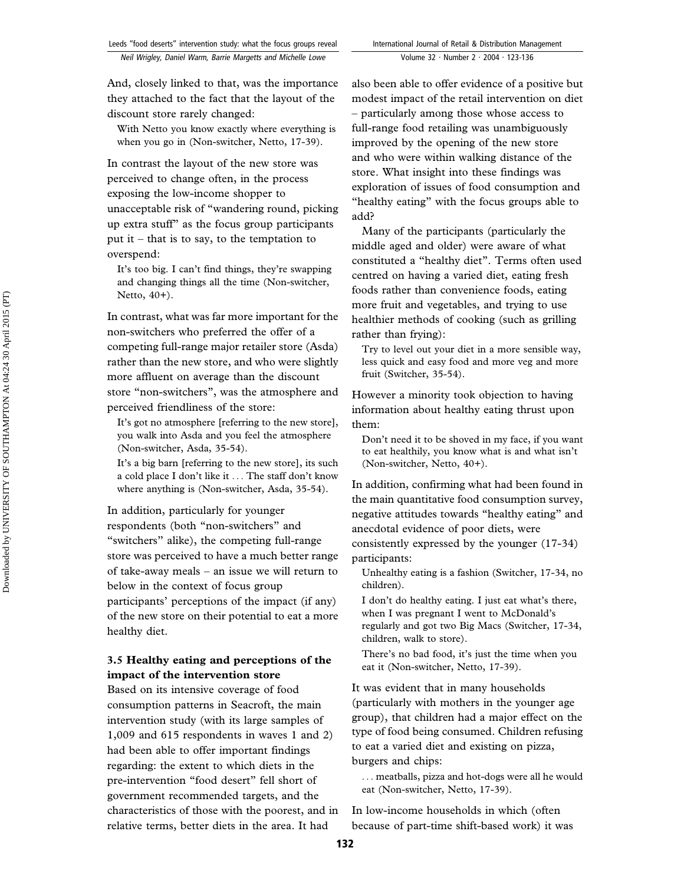And, closely linked to that, was the importance they attached to the fact that the layout of the discount store rarely changed:

With Netto you know exactly where everything is when you go in (Non-switcher, Netto, 17-39).

In contrast the layout of the new store was perceived to change often, in the process exposing the low-income shopper to unacceptable risk of "wandering round, picking up extra stuff" as the focus group participants put it  $-$  that is to say, to the temptation to overspend:

It's too big. I can't find things, they're swapping and changing things all the time (Non-switcher, Netto,  $40+$ ).

In contrast, what was far more important for the non-switchers who preferred the offer of a competing full-range major retailer store (Asda) rather than the new store, and who were slightly more affluent on average than the discount store "non-switchers", was the atmosphere and perceived friendliness of the store:

It's got no atmosphere [referring to the new store], you walk into Asda and you feel the atmosphere (Non-switcher, Asda, 35-54).

It's a big barn [referring to the new store], its such a cold place I don't like it . . . The staff don't know where anything is (Non-switcher, Asda, 35-54).

In addition, particularly for younger respondents (both "non-switchers" and "switchers" alike), the competing full-range store was perceived to have a much better range of take-away meals – an issue we will return to below in the context of focus group participants' perceptions of the impact (if any) of the new store on their potential to eat a more healthy diet.

### 3.5 Healthy eating and perceptions of the impact of the intervention store

Based on its intensive coverage of food consumption patterns in Seacroft, the main intervention study (with its large samples of 1,009 and 615 respondents in waves 1 and 2) had been able to offer important findings regarding: the extent to which diets in the pre-intervention "food desert" fell short of government recommended targets, and the characteristics of those with the poorest, and in relative terms, better diets in the area. It had

also been able to offer evidence of a positive but modest impact of the retail intervention on diet - particularly among those whose access to full-range food retailing was unambiguously improved by the opening of the new store and who were within walking distance of the store. What insight into these findings was exploration of issues of food consumption and "healthy eating" with the focus groups able to add?

Many of the participants (particularly the middle aged and older) were aware of what constituted a "healthy diet". Terms often used centred on having a varied diet, eating fresh foods rather than convenience foods, eating more fruit and vegetables, and trying to use healthier methods of cooking (such as grilling rather than frying):

Try to level out your diet in a more sensible way, less quick and easy food and more veg and more fruit (Switcher, 35-54).

However a minority took objection to having information about healthy eating thrust upon them<sup>.</sup>

Don't need it to be shoved in my face, if you want to eat healthily, you know what is and what isn't (Non-switcher, Netto, 40+).

In addition, confirming what had been found in the main quantitative food consumption survey, negative attitudes towards "healthy eating" and anecdotal evidence of poor diets, were consistently expressed by the younger (17-34)

participants:

Unhealthy eating is a fashion (Switcher, 17-34, no children).

I don't do healthy eating. I just eat what's there, when I was pregnant I went to McDonald's regularly and got two Big Macs (Switcher, 17-34, children, walk to store).

There's no bad food, it's just the time when you eat it (Non-switcher, Netto, 17-39).

It was evident that in many households (particularly with mothers in the younger age group), that children had a major effect on the type of food being consumed. Children refusing to eat a varied diet and existing on pizza, burgers and chips:

... meatballs, pizza and hot-dogs were all he would eat (Non-switcher, Netto, 17-39).

In low-income households in which (often because of part-time shift-based work) it was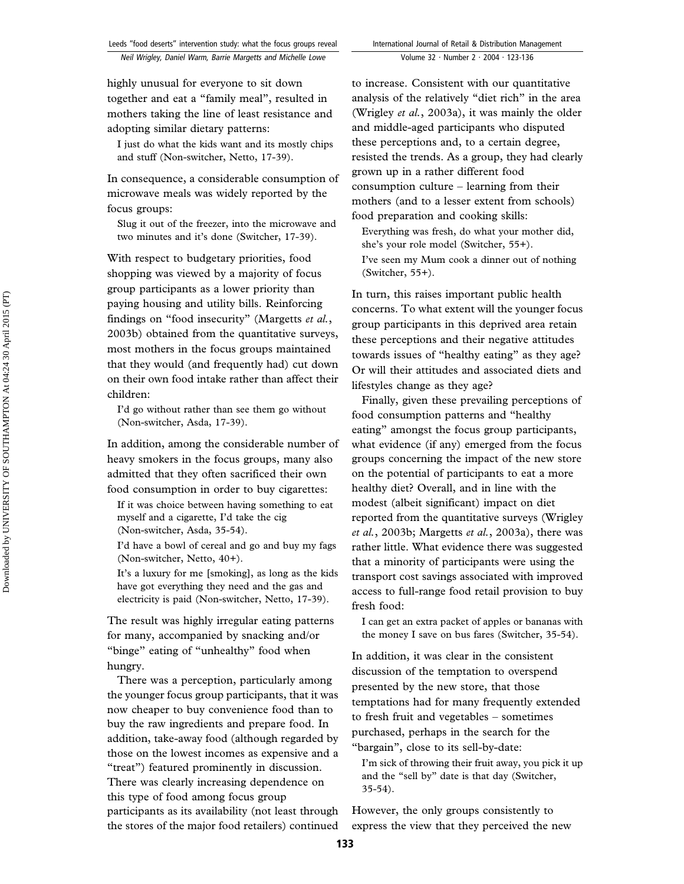highly unusual for everyone to sit down together and eat a "family meal", resulted in mothers taking the line of least resistance and adopting similar dietary patterns:

I just do what the kids want and its mostly chips and stuff (Non-switcher, Netto, 17-39).

In consequence, a considerable consumption of microwave meals was widely reported by the focus groups:

Slug it out of the freezer, into the microwave and two minutes and it's done (Switcher, 17-39).

With respect to budgetary priorities, food shopping was viewed by a majority of focus group participants as a lower priority than paying housing and utility bills. Reinforcing findings on "food insecurity" (Margetts et al., 2003b) obtained from the quantitative surveys, most mothers in the focus groups maintained that they would (and frequently had) cut down on their own food intake rather than affect their children:

I'd go without rather than see them go without (Non-switcher, Asda, 17-39).

In addition, among the considerable number of heavy smokers in the focus groups, many also admitted that they often sacrificed their own food consumption in order to buy cigarettes:

If it was choice between having something to eat myself and a cigarette, I'd take the cig (Non-switcher, Asda, 35-54).

I'd have a bowl of cereal and go and buy my fags (Non-switcher, Netto, 40+).

It's a luxury for me [smoking], as long as the kids have got everything they need and the gas and electricity is paid (Non-switcher, Netto, 17-39).

The result was highly irregular eating patterns for many, accompanied by snacking and/or "binge" eating of "unhealthy" food when hungry.

There was a perception, particularly among the younger focus group participants, that it was now cheaper to buy convenience food than to buy the raw ingredients and prepare food. In addition, take-away food (although regarded by those on the lowest incomes as expensive and a "treat") featured prominently in discussion. There was clearly increasing dependence on this type of food among focus group participants as its availability (not least through the stores of the major food retailers) continued to increase. Consistent with our quantitative analysis of the relatively "diet rich" in the area (Wrigley et al., 2003a), it was mainly the older and middle-aged participants who disputed these perceptions and, to a certain degree, resisted the trends. As a group, they had clearly grown up in a rather different food consumption culture  $-$  learning from their mothers (and to a lesser extent from schools) food preparation and cooking skills:

Everything was fresh, do what your mother did, she's your role model (Switcher, 55+). I've seen my Mum cook a dinner out of nothing (Switcher, 55+).

In turn, this raises important public health concerns. To what extent will the younger focus group participants in this deprived area retain these perceptions and their negative attitudes towards issues of "healthy eating" as they age? Or will their attitudes and associated diets and lifestyles change as they age?

Finally, given these prevailing perceptions of food consumption patterns and "healthy" eating" amongst the focus group participants, what evidence (if any) emerged from the focus groups concerning the impact of the new store on the potential of participants to eat a more healthy diet? Overall, and in line with the modest (albeit significant) impact on diet reported from the quantitative surveys (Wrigley *et al.*, 2003b; Margetts *et al.*, 2003a), there was rather little. What evidence there was suggested that a minority of participants were using the transport cost savings associated with improved access to full-range food retail provision to buy fresh food:

I can get an extra packet of apples or bananas with the money I save on bus fares (Switcher, 35-54).

In addition, it was clear in the consistent discussion of the temptation to overspend presented by the new store, that those temptations had for many frequently extended to fresh fruit and vegetables - sometimes purchased, perhaps in the search for the "bargain", close to its sell-by-date:

I'm sick of throwing their fruit away, you pick it up and the "sell by" date is that day (Switcher,  $35-54$ ).

However, the only groups consistently to express the view that they perceived the new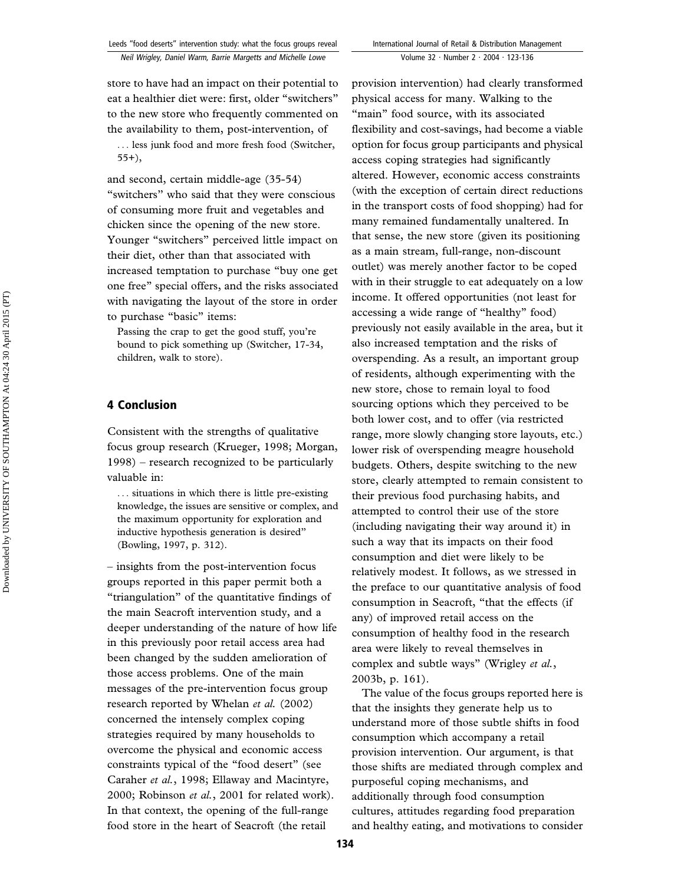store to have had an impact on their potential to eat a healthier diet were: first, older "switchers" to the new store who frequently commented on the availability to them, post-intervention, of

... less junk food and more fresh food (Switcher,  $55+$ ,

and second, certain middle-age (35-54) "switchers" who said that they were conscious of consuming more fruit and vegetables and chicken since the opening of the new store. Younger "switchers" perceived little impact on their diet, other than that associated with increased temptation to purchase "buy one get one free" special offers, and the risks associated with navigating the layout of the store in order to purchase "basic" items:

Passing the crap to get the good stuff, you're bound to pick something up (Switcher, 17-34, children, walk to store).

## **4 Conclusion**

Consistent with the strengths of qualitative focus group research (Krueger, 1998; Morgan,  $1998$ ) – research recognized to be particularly valuable in:

... situations in which there is little pre-existing knowledge, the issues are sensitive or complex, and the maximum opportunity for exploration and inductive hypothesis generation is desired" (Bowling, 1997, p. 312).

- insights from the post-intervention focus groups reported in this paper permit both a "triangulation" of the quantitative findings of the main Seacroft intervention study, and a deeper understanding of the nature of how life in this previously poor retail access area had been changed by the sudden amelioration of those access problems. One of the main messages of the pre-intervention focus group research reported by Whelan et al. (2002) concerned the intensely complex coping strategies required by many households to overcome the physical and economic access constraints typical of the "food desert" (see Caraher et al., 1998; Ellaway and Macintyre, 2000; Robinson et al., 2001 for related work). In that context, the opening of the full-range food store in the heart of Seacroft (the retail

provision intervention) had clearly transformed physical access for many. Walking to the "main" food source, with its associated flexibility and cost-savings, had become a viable option for focus group participants and physical access coping strategies had significantly altered. However, economic access constraints (with the exception of certain direct reductions in the transport costs of food shopping) had for many remained fundamentally unaltered. In that sense, the new store (given its positioning as a main stream, full-range, non-discount outlet) was merely another factor to be coped with in their struggle to eat adequately on a low income. It offered opportunities (not least for accessing a wide range of "healthy" food) previously not easily available in the area, but it also increased temptation and the risks of overspending. As a result, an important group of residents, although experimenting with the new store, chose to remain loyal to food sourcing options which they perceived to be both lower cost, and to offer (via restricted range, more slowly changing store layouts, etc.) lower risk of overspending meagre household budgets. Others, despite switching to the new store, clearly attempted to remain consistent to their previous food purchasing habits, and attempted to control their use of the store (including navigating their way around it) in such a way that its impacts on their food consumption and diet were likely to be relatively modest. It follows, as we stressed in the preface to our quantitative analysis of food consumption in Seacroft, "that the effects (if any) of improved retail access on the consumption of healthy food in the research area were likely to reveal themselves in complex and subtle ways" (Wrigley et al., 2003b, p. 161).

The value of the focus groups reported here is that the insights they generate help us to understand more of those subtle shifts in food consumption which accompany a retail provision intervention. Our argument, is that those shifts are mediated through complex and purposeful coping mechanisms, and additionally through food consumption cultures, attitudes regarding food preparation and healthy eating, and motivations to consider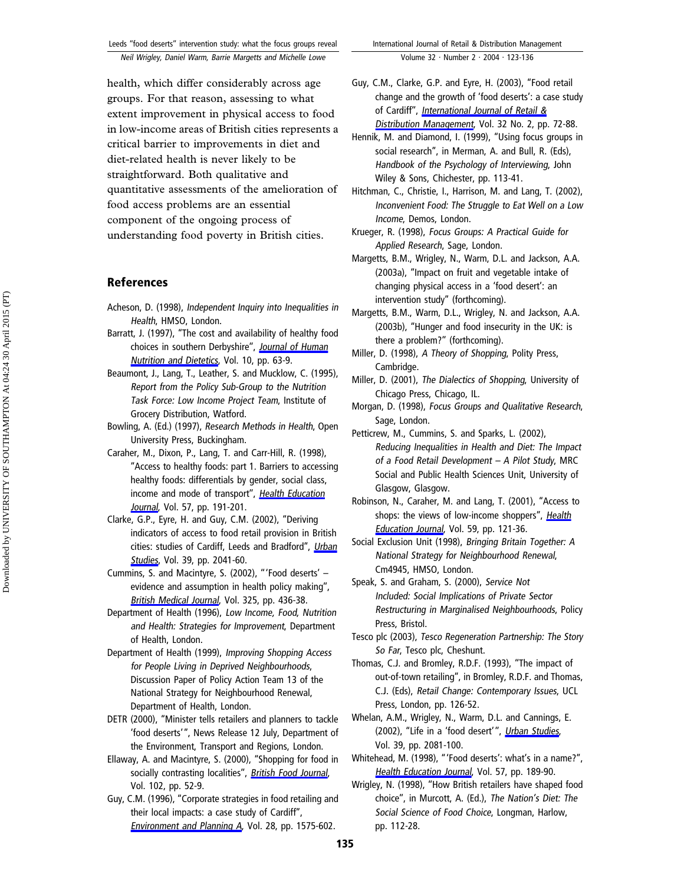Leeds "food deserts" intervention study: what the focus groups reveal Neil Wrigley, Daniel Warm, Barrie Margetts and Michelle Lowe

health, which differ considerably across age groups. For that reason, assessing to what extent improvement in physical access to food in low-income areas of British cities represents a critical barrier to improvements in diet and diet-related health is never likely to be straightforward. Both qualitative and quantitative assessments of the amelioration of food access problems are an essential component of the ongoing process of understanding food poverty in British cities.

#### References

- Acheson, D. (1998), Independent Inquiry into Inequalities in Health, HMSO, London.
- Barratt, J. (1997), "The cost and availability of healthy food choices in southern Derbyshire", Journal of Human Nutrition and Dietetics, Vol. 10, pp. 63-9.
- Beaumont, J., Lang, T., Leather, S. and Mucklow, C. (1995) Report from the Policy Sub-Group to the Nutrition Task Force: Low Income Project Team, Institute of Grocery Distribution, Watford.
- Bowling, A. (Ed.) (1997), Research Methods in Health, Open University Press, Buckingham.
- Caraher, M., Dixon, P., Lang, T. and Carr-Hill, R. (1998), "Access to healthy foods: part 1. Barriers to accessing healthy foods: differentials by gender, social class, income and mode of transport", Health Education Journal, Vol. 57, pp. 191-201.
- Clarke, G.P., Eyre, H. and Guy, C.M. (2002), "Deriving indicators of access to food retail provision in British cities: studies of Cardiff, Leeds and Bradford", Urban Studies, Vol. 39, pp. 2041-60.
- Cummins, S. and Macintyre, S. (2002), "'Food deserts' evidence and assumption in health policy making", British Medical Journal, Vol. 325, pp. 436-38.
- Department of Health (1996), Low Income, Food, Nutrition and Health: Strategies for Improvement, Department of Health, London.
- Department of Health (1999), Improving Shopping Access for People Living in Deprived Neighbourhoods, Discussion Paper of Policy Action Team 13 of the National Strategy for Neighbourhood Renewal, Department of Health, London.
- DETR (2000), "Minister tells retailers and planners to tackle 'food deserts'", News Release 12 July, Department of the Environment, Transport and Regions, London.
- Ellaway, A. and Macintyre, S. (2000), "Shopping for food in socially contrasting localities", British Food Journal Vol. 102, pp. 52-9.
- Guy, C.M. (1996), "Corporate strategies in food retailing and their local impacts: a case study of Cardiff", Environment and Planning A, Vol. 28, pp. 1575-602.
- Guy, C.M., Clarke, G.P. and Eyre, H. (2003), "Food retail change and the growth of 'food deserts': a case study of Cardiff", International Journal of Retail & Distribution Management, Vol. 32 No. 2, pp. 72-88.
- Hennik, M. and Diamond, I. (1999), "Using focus groups in social research", in Merman, A. and Bull, R. (Eds), Handbook of the Psychology of Interviewing, John Wiley & Sons, Chichester, pp. 113-41.
- Hitchman, C., Christie, I., Harrison, M. and Lang, T. (2002), Inconvenient Food: The Struggle to Eat Well on a Low Income, Demos, London.
- Krueger, R. (1998), Focus Groups: A Practical Guide for Applied Research, Sage, London.
- Margetts, B.M., Wrigley, N., Warm, D.L. and Jackson, A.A. (2003a), "Impact on fruit and vegetable intake of changing physical access in a 'food desert': an intervention study" (forthcoming).
- Margetts, B.M., Warm, D.L., Wrigley, N. and Jackson, A.A. (2003b), "Hunger and food insecurity in the UK: is there a problem?" (forthcoming).
- Miller, D. (1998), A Theory of Shopping, Polity Press, Cambridge.
- Miller, D. (2001), The Dialectics of Shopping, University of Chicago Press, Chicago, IL.
- Morgan, D. (1998), Focus Groups and Qualitative Research, Sage, London.
- Petticrew, M., Cummins, S. and Sparks, L. (2002), Reducing Inequalities in Health and Diet: The Impact of a Food Retail Development - A Pilot Study, MRC Social and Public Health Sciences Unit, University of Glasgow, Glasgow.
- Robinson, N., Caraher, M. and Lang, T. (2001), "Access to shops: the views of low-income shoppers", Health Education Journal, Vol. 59, pp. 121-36.
- Social Exclusion Unit (1998), Bringing Britain Together: A National Strategy for Neighbourhood Renewal, Cm4945, HMSO, London.
- Speak, S. and Graham, S. (2000), Service Not Included: Social Implications of Private Sector Restructuring in Marginalised Neighbourhoods, Policy Press, Bristol.
- Tesco plc (2003), Tesco Regeneration Partnership: The Story So Far, Tesco plc, Cheshunt.
- Thomas, C.J. and Bromley, R.D.F. (1993), "The impact of out-of-town retailing", in Bromley, R.D.F. and Thomas, C.J. (Eds), Retail Change: Contemporary Issues, UCL Press, London, pp. 126-52.
- Whelan, A.M., Wrigley, N., Warm, D.L. and Cannings, E. (2002), "Life in a 'food desert'", Urban Studies, Vol. 39, pp. 2081-100.
- Whitehead, M. (1998), "'Food deserts': what's in a name?", Health Education Journal, Vol. 57, pp. 189-90.
- Wrigley, N. (1998), "How British retailers have shaped food choice", in Murcott, A. (Ed.), The Nation's Diet: The Social Science of Food Choice, Longman, Harlow, pp. 112-28.